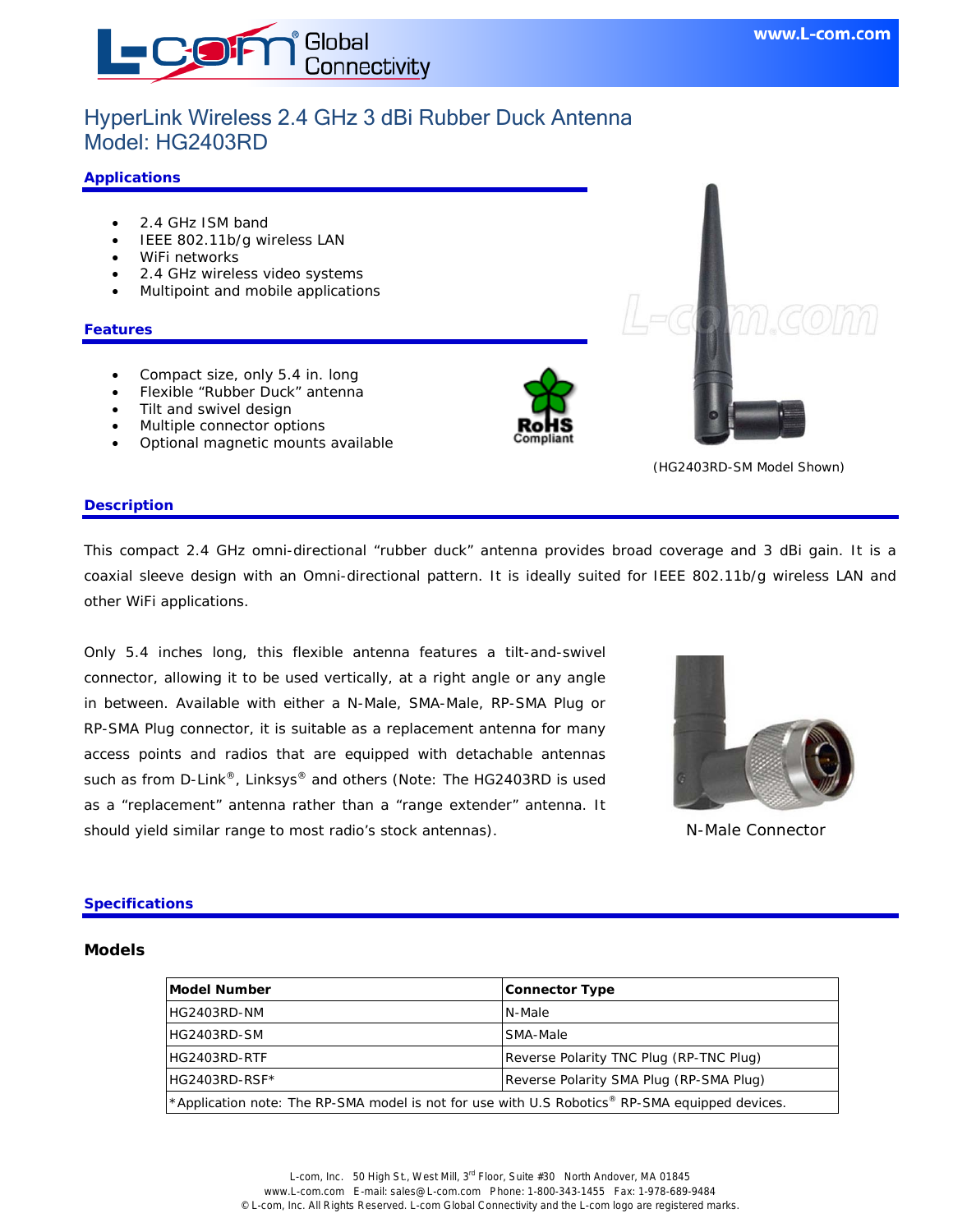

# HyperLink Wireless 2.4 GHz 3 dBi Rubber Duck Antenna Model: HG2403RD

#### **Applications**

- 2.4 GHz ISM band
- IEEE 802.11b/g wireless LAN
- WiFi networks
- 2.4 GHz wireless video systems
- Multipoint and mobile applications

#### **Features**

- Compact size, only 5.4 in. long
- Flexible "Rubber Duck" antenna
- Tilt and swivel design
- Multiple connector options
- Optional magnetic mounts available





(HG2403RD-SM Model Shown)

#### **Description**

This compact 2.4 GHz omni-directional "rubber duck" antenna provides broad coverage and 3 dBi gain. It is a coaxial sleeve design with an Omni-directional pattern. It is ideally suited for IEEE 802.11b/g wireless LAN and other WiFi applications.

Only 5.4 inches long, this flexible antenna features a tilt-and-swivel connector, allowing it to be used vertically, at a right angle or any angle in between. Available with either a N-Male, SMA-Male, RP-SMA Plug or RP-SMA Plug connector, it is suitable as a replacement antenna for many access points and radios that are equipped with detachable antennas such as from D-Link<sup>®</sup>, Linksys<sup>®</sup> and others (Note: The HG2403RD is used as a "replacement" antenna rather than a "range extender" antenna. It should yield similar range to most radio's stock antennas).



N-Male Connector

#### **Specifications**

#### **Models**

| Model Number                                                                                   | <b>Connector Type</b>                   |
|------------------------------------------------------------------------------------------------|-----------------------------------------|
| HG2403RD-NM                                                                                    | N-Male                                  |
| HG2403RD-SM                                                                                    | SMA-Male                                |
| HG2403RD-RTF                                                                                   | Reverse Polarity TNC Plug (RP-TNC Plug) |
| HG2403RD-RSF*                                                                                  | Reverse Polarity SMA Plug (RP-SMA Plug) |
| *Application note: The RP-SMA model is not for use with U.S Robotics® RP-SMA equipped devices. |                                         |